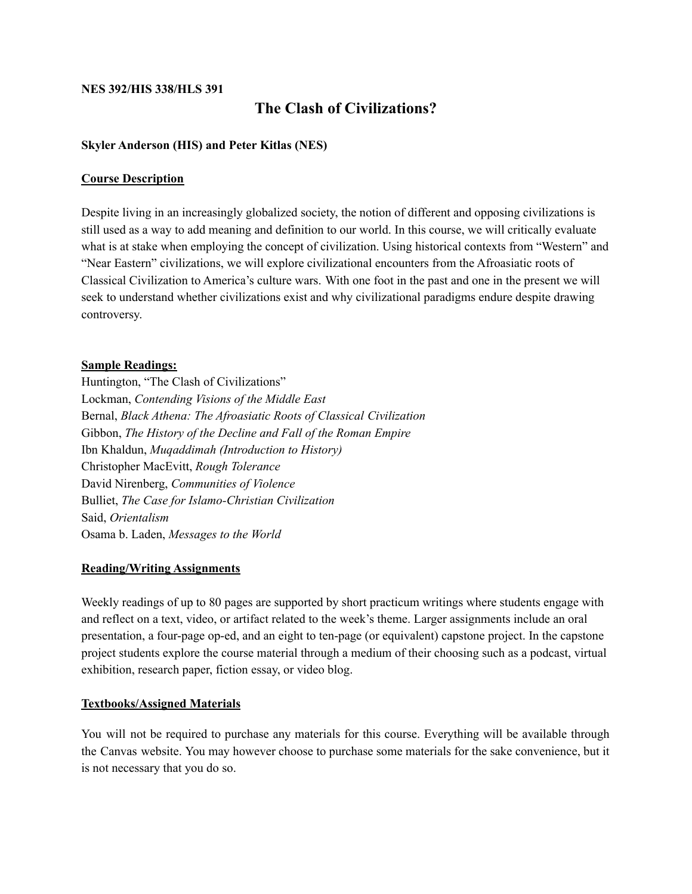#### **NES 392/HIS 338/HLS 391**

# **The Clash of Civilizations?**

#### **Skyler Anderson (HIS) and Peter Kitlas (NES)**

#### **Course Description**

Despite living in an increasingly globalized society, the notion of different and opposing civilizations is still used as a way to add meaning and definition to our world. In this course, we will critically evaluate what is at stake when employing the concept of civilization. Using historical contexts from "Western" and "Near Eastern" civilizations, we will explore civilizational encounters from the Afroasiatic roots of Classical Civilization to America's culture wars. With one foot in the past and one in the present we will seek to understand whether civilizations exist and why civilizational paradigms endure despite drawing controversy.

#### **Sample Readings:**

Huntington, "The Clash of Civilizations" Lockman, *Contending Visions of the Middle East* Bernal, *Black Athena: The Afroasiatic Roots of Classical Civilization* Gibbon, *The History of the Decline and Fall of the Roman Empire* Ibn Khaldun, *Muqaddimah (Introduction to History)* Christopher MacEvitt, *Rough Tolerance* David Nirenberg, *Communities of Violence* Bulliet, *The Case for Islamo-Christian Civilization* Said, *Orientalism* Osama b. Laden, *Messages to the World*

#### **Reading/Writing Assignments**

Weekly readings of up to 80 pages are supported by short practicum writings where students engage with and reflect on a text, video, or artifact related to the week's theme. Larger assignments include an oral presentation, a four-page op-ed, and an eight to ten-page (or equivalent) capstone project. In the capstone project students explore the course material through a medium of their choosing such as a podcast, virtual exhibition, research paper, fiction essay, or video blog.

#### **Textbooks/Assigned Materials**

You will not be required to purchase any materials for this course. Everything will be available through the Canvas website. You may however choose to purchase some materials for the sake convenience, but it is not necessary that you do so.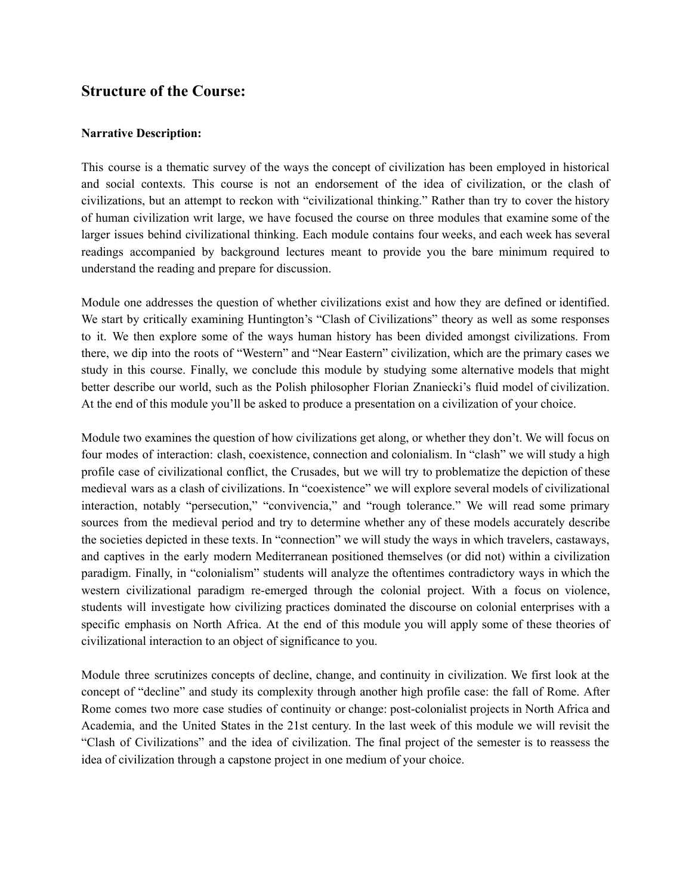# **Structure of the Course:**

#### **Narrative Description:**

This course is a thematic survey of the ways the concept of civilization has been employed in historical and social contexts. This course is not an endorsement of the idea of civilization, or the clash of civilizations, but an attempt to reckon with "civilizational thinking." Rather than try to cover the history of human civilization writ large, we have focused the course on three modules that examine some of the larger issues behind civilizational thinking. Each module contains four weeks, and each week has several readings accompanied by background lectures meant to provide you the bare minimum required to understand the reading and prepare for discussion.

Module one addresses the question of whether civilizations exist and how they are defined or identified. We start by critically examining Huntington's "Clash of Civilizations" theory as well as some responses to it. We then explore some of the ways human history has been divided amongst civilizations. From there, we dip into the roots of "Western" and "Near Eastern" civilization, which are the primary cases we study in this course. Finally, we conclude this module by studying some alternative models that might better describe our world, such as the Polish philosopher Florian Znaniecki's fluid model of civilization. At the end of this module you'll be asked to produce a presentation on a civilization of your choice.

Module two examines the question of how civilizations get along, or whether they don't. We will focus on four modes of interaction: clash, coexistence, connection and colonialism. In "clash" we will study a high profile case of civilizational conflict, the Crusades, but we will try to problematize the depiction of these medieval wars as a clash of civilizations. In "coexistence" we will explore several models of civilizational interaction, notably "persecution," "convivencia," and "rough tolerance." We will read some primary sources from the medieval period and try to determine whether any of these models accurately describe the societies depicted in these texts. In "connection" we will study the ways in which travelers, castaways, and captives in the early modern Mediterranean positioned themselves (or did not) within a civilization paradigm. Finally, in "colonialism" students will analyze the oftentimes contradictory ways in which the western civilizational paradigm re-emerged through the colonial project. With a focus on violence, students will investigate how civilizing practices dominated the discourse on colonial enterprises with a specific emphasis on North Africa. At the end of this module you will apply some of these theories of civilizational interaction to an object of significance to you.

Module three scrutinizes concepts of decline, change, and continuity in civilization. We first look at the concept of "decline" and study its complexity through another high profile case: the fall of Rome. After Rome comes two more case studies of continuity or change: post-colonialist projects in North Africa and Academia, and the United States in the 21st century. In the last week of this module we will revisit the "Clash of Civilizations" and the idea of civilization. The final project of the semester is to reassess the idea of civilization through a capstone project in one medium of your choice.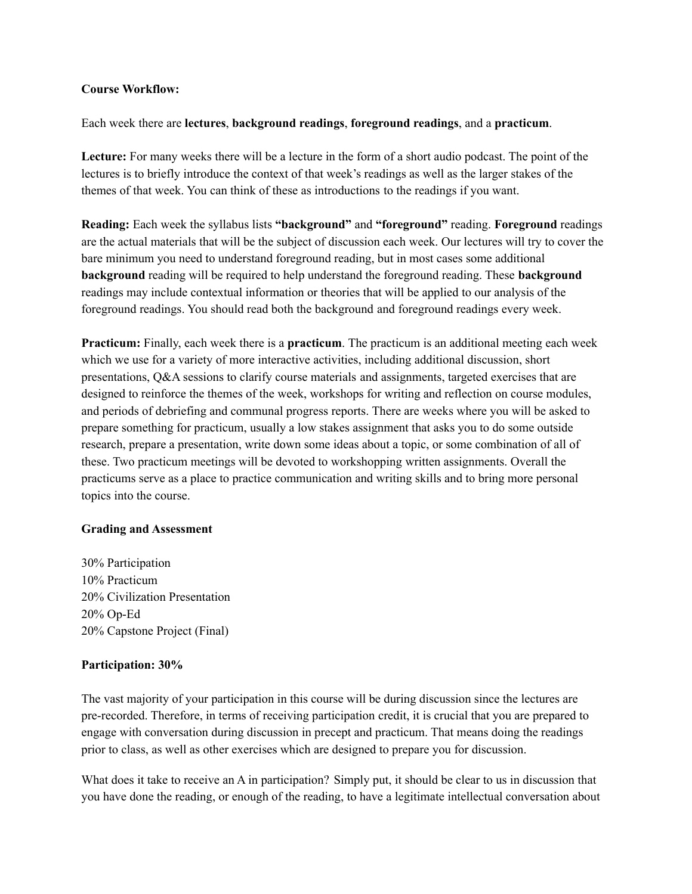#### **Course Workflow:**

Each week there are **lectures**, **background readings**, **foreground readings**, and a **practicum**.

**Lecture:** For many weeks there will be a lecture in the form of a short audio podcast. The point of the lectures is to briefly introduce the context of that week's readings as well as the larger stakes of the themes of that week. You can think of these as introductions to the readings if you want.

**Reading:** Each week the syllabus lists **"background"** and **"foreground"** reading. **Foreground** readings are the actual materials that will be the subject of discussion each week. Our lectures will try to cover the bare minimum you need to understand foreground reading, but in most cases some additional **background** reading will be required to help understand the foreground reading. These **background** readings may include contextual information or theories that will be applied to our analysis of the foreground readings. You should read both the background and foreground readings every week.

**Practicum:** Finally, each week there is a **practicum**. The practicum is an additional meeting each week which we use for a variety of more interactive activities, including additional discussion, short presentations, Q&A sessions to clarify course materials and assignments, targeted exercises that are designed to reinforce the themes of the week, workshops for writing and reflection on course modules, and periods of debriefing and communal progress reports. There are weeks where you will be asked to prepare something for practicum, usually a low stakes assignment that asks you to do some outside research, prepare a presentation, write down some ideas about a topic, or some combination of all of these. Two practicum meetings will be devoted to workshopping written assignments. Overall the practicums serve as a place to practice communication and writing skills and to bring more personal topics into the course.

#### **Grading and Assessment**

30% Participation 10% Practicum 20% Civilization Presentation 20% Op-Ed 20% Capstone Project (Final)

#### **Participation: 30%**

The vast majority of your participation in this course will be during discussion since the lectures are pre-recorded. Therefore, in terms of receiving participation credit, it is crucial that you are prepared to engage with conversation during discussion in precept and practicum. That means doing the readings prior to class, as well as other exercises which are designed to prepare you for discussion.

What does it take to receive an A in participation? Simply put, it should be clear to us in discussion that you have done the reading, or enough of the reading, to have a legitimate intellectual conversation about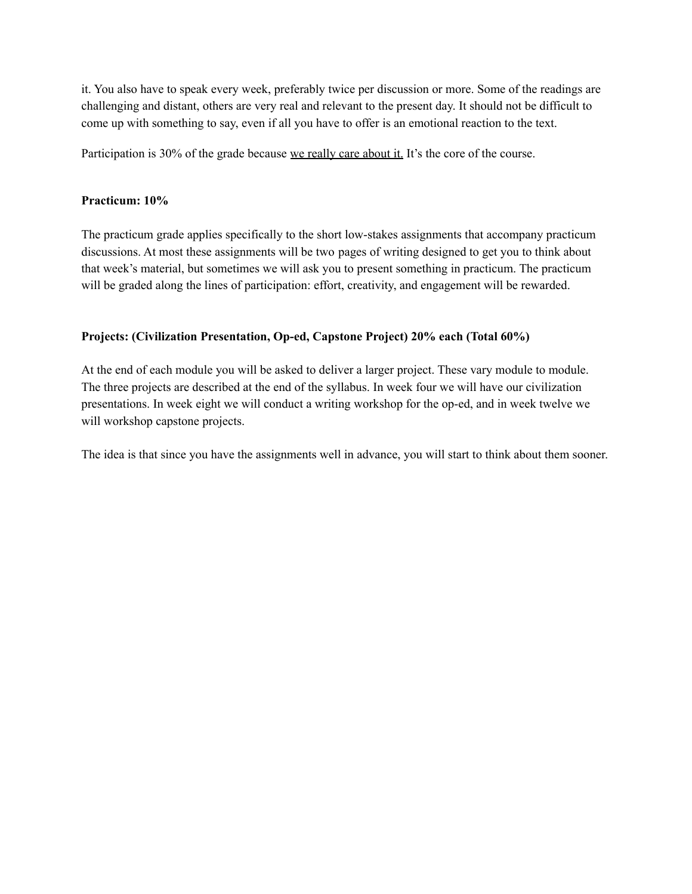it. You also have to speak every week, preferably twice per discussion or more. Some of the readings are challenging and distant, others are very real and relevant to the present day. It should not be difficult to come up with something to say, even if all you have to offer is an emotional reaction to the text.

Participation is 30% of the grade because we really care about it. It's the core of the course.

#### **Practicum: 10%**

The practicum grade applies specifically to the short low-stakes assignments that accompany practicum discussions. At most these assignments will be two pages of writing designed to get you to think about that week's material, but sometimes we will ask you to present something in practicum. The practicum will be graded along the lines of participation: effort, creativity, and engagement will be rewarded.

#### **Projects: (Civilization Presentation, Op-ed, Capstone Project) 20% each (Total 60%)**

At the end of each module you will be asked to deliver a larger project. These vary module to module. The three projects are described at the end of the syllabus. In week four we will have our civilization presentations. In week eight we will conduct a writing workshop for the op-ed, and in week twelve we will workshop capstone projects.

The idea is that since you have the assignments well in advance, you will start to think about them sooner.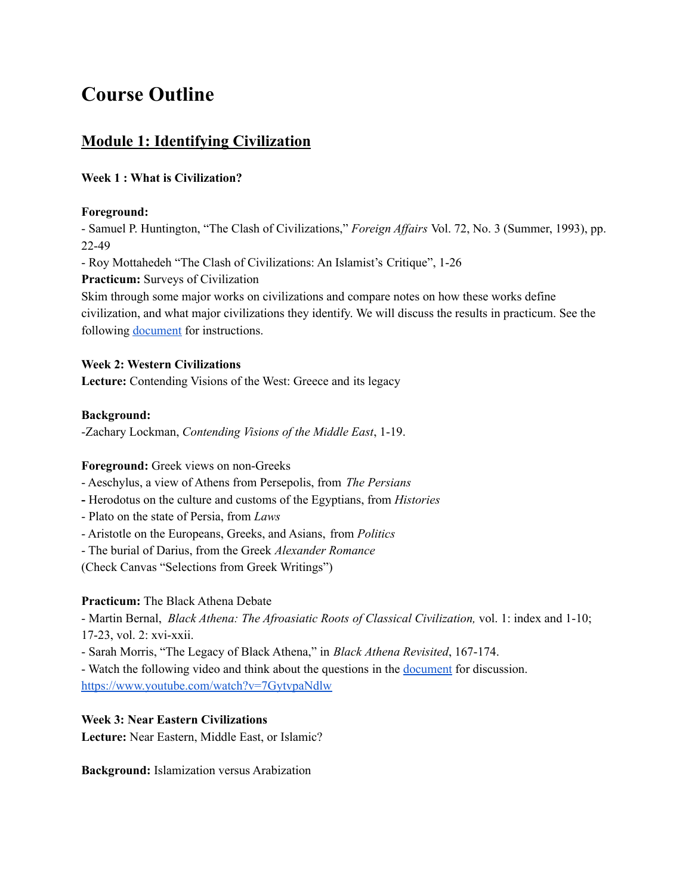# **Course Outline**

# **Module 1: Identifying Civilization**

# **Week 1 : What is Civilization?**

#### **Foreground:**

- Samuel P. Huntington, "The Clash of Civilizations," *Foreign Affairs* Vol. 72, No. 3 (Summer, 1993), pp. 22-49

- Roy Mottahedeh "The Clash of Civilizations: An Islamist's Critique", 1-26

**Practicum:** Surveys of Civilization

Skim through some major works on civilizations and compare notes on how these works define civilization, and what major civilizations they identify. We will discuss the results in practicum. See the following [document](https://docs.google.com/document/d/1DKGU7IJSN9pf2CmWfAPjVroIQyR4ba5k1UIYDdpnhc4/edit?usp=sharing) for instructions.

## **Week 2: Western Civilizations**

**Lecture:** Contending Visions of the West: Greece and its legacy

## **Background:**

-Zachary Lockman, *Contending Visions of the Middle East*, 1-19.

# **Foreground:** Greek views on non-Greeks

- Aeschylus, a view of Athens from Persepolis, from *The Persians*
- **-** Herodotus on the culture and customs of the Egyptians, from *Histories*
- Plato on the state of Persia, from *Laws*
- Aristotle on the Europeans, Greeks, and Asians, from *Politics*
- The burial of Darius, from the Greek *Alexander Romance*

(Check Canvas "Selections from Greek Writings")

## **Practicum:** The Black Athena Debate

- Martin Bernal, *Black Athena: The Afroasiatic Roots of Classical Civilization,* vol. 1: index and 1-10; 17-23, vol. 2: xvi-xxii.

- Sarah Morris, "The Legacy of Black Athena," in *Black Athena Revisited*, 167-174.

- Watch the following video and think about the questions in the **[document](https://docs.google.com/document/d/1TfOZBvA27NIszR51GTOePfBhBV7peYfWYGHak-sdOKY/edit?usp=sharing)** for discussion. <https://www.youtube.com/watch?v=7GytvpaNdlw>

# **Week 3: Near Eastern Civilizations**

**Lecture:** Near Eastern, Middle East, or Islamic?

**Background:** Islamization versus Arabization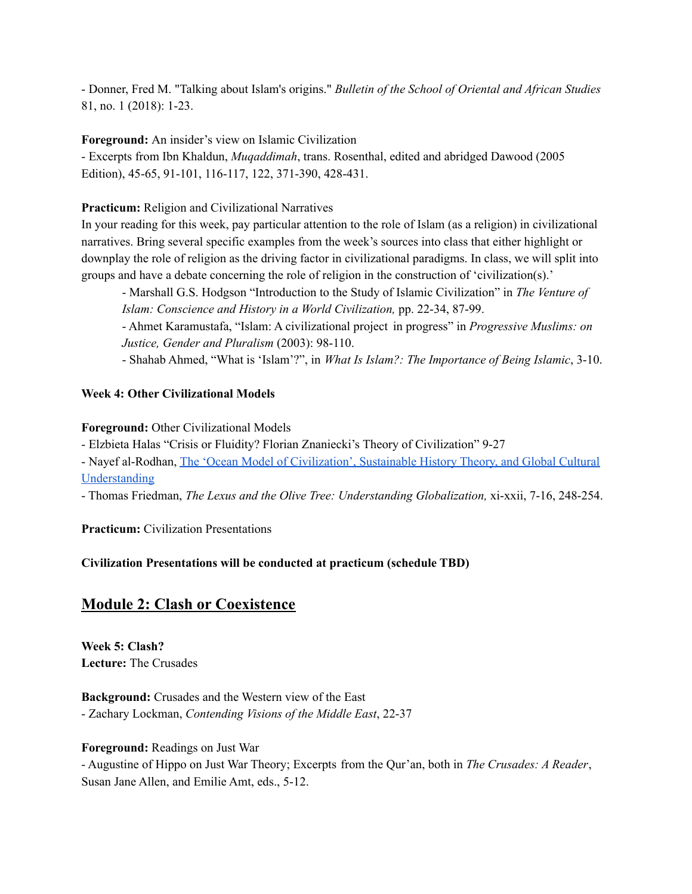- Donner, Fred M. "Talking about Islam's origins." *Bulletin of the School of Oriental and African Studies* 81, no. 1 (2018): 1-23.

**Foreground:** An insider's view on Islamic Civilization

- Excerpts from Ibn Khaldun, *Muqaddimah*, trans. Rosenthal, edited and abridged Dawood (2005 Edition), 45-65, 91-101, 116-117, 122, 371-390, 428-431.

# **Practicum:** Religion and Civilizational Narratives

In your reading for this week, pay particular attention to the role of Islam (as a religion) in civilizational narratives. Bring several specific examples from the week's sources into class that either highlight or downplay the role of religion as the driving factor in civilizational paradigms. In class, we will split into groups and have a debate concerning the role of religion in the construction of 'civilization(s).'

- Marshall G.S. Hodgson "Introduction to the Study of Islamic Civilization" in *The Venture of Islam: Conscience and History in a World Civilization,* pp. 22-34, 87-99.

- Ahmet Karamustafa, "Islam: A civilizational project in progress" in *Progressive Muslims: on Justice, Gender and Pluralism* (2003): 98-110.

- Shahab Ahmed, "What is 'Islam'?", in *What Is Islam?: The Importance of Being Islamic*, 3-10.

# **Week 4: Other Civilizational Models**

## **Foreground:** Other Civilizational Models

- Elzbieta Halas "Crisis or Fluidity? Florian Znaniecki's Theory of Civilization" 9-27

- Nayef al-Rodhan, The 'Ocean Model of [Civilization',](https://www.bbvaopenmind.com/en/economy/geopolitics/the-ocean-model-of-civilization-sustainable-history-theory-and-global-cultural-understanding/) Sustainable History Theory, and Global Cultural [Understanding](https://www.bbvaopenmind.com/en/economy/geopolitics/the-ocean-model-of-civilization-sustainable-history-theory-and-global-cultural-understanding/)

- Thomas Friedman, *The Lexus and the Olive Tree: Understanding Globalization,* xi-xxii, 7-16, 248-254.

**Practicum:** Civilization Presentations

# **Civilization Presentations will be conducted at practicum (schedule TBD)**

# **Module 2: Clash or Coexistence**

**Week 5: Clash? Lecture:** The Crusades

**Background:** Crusades and the Western view of the East - Zachary Lockman, *Contending Visions of the Middle East*, 22-37

**Foreground:** Readings on Just War

- Augustine of Hippo on Just War Theory; Excerpts from the Qur'an, both in *The Crusades: A Reader*, Susan Jane Allen, and Emilie Amt, eds., 5-12.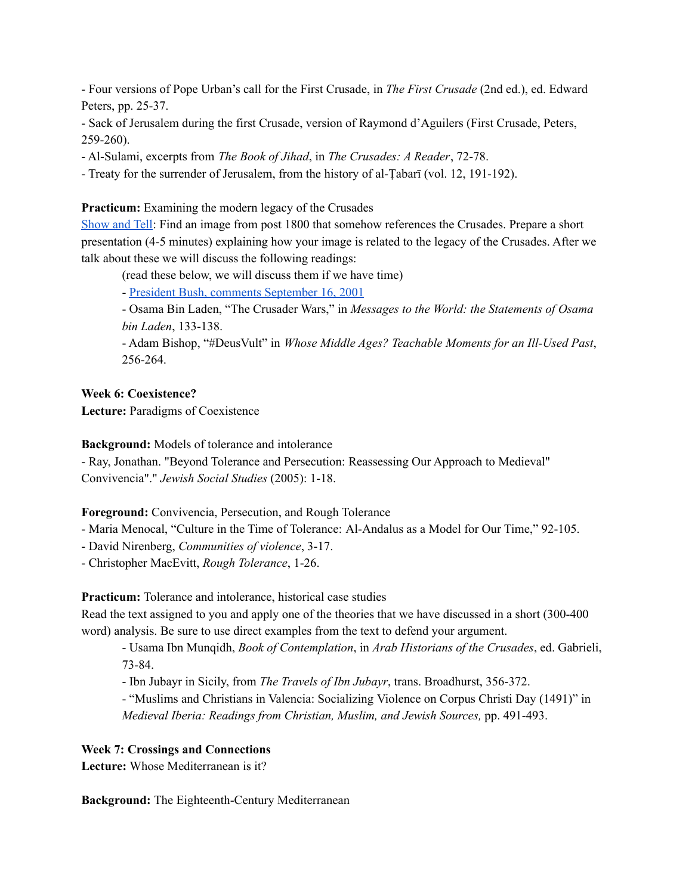- Four versions of Pope Urban's call for the First Crusade, in *The First Crusade* (2nd ed.), ed. Edward Peters, pp. 25-37.

- Sack of Jerusalem during the first Crusade, version of Raymond d'Aguilers (First Crusade, Peters, 259-260).

- Al-Sulami, excerpts from *The Book of Jihad*, in *The Crusades: A Reader*, 72-78.

- Treaty for the surrender of Jerusalem, from the history of al-Ṭabarī (vol. 12, 191-192).

## **Practicum:** Examining the modern legacy of the Crusades

[Show](https://docs.google.com/document/d/1dw1_3xolNgX6Mq3Lal5H60SdwZjvaEbpwrFvwCoBbPk/edit?usp=sharing) and Tell: Find an image from post 1800 that somehow references the Crusades. Prepare a short presentation (4-5 minutes) explaining how your image is related to the legacy of the Crusades. After we talk about these we will discuss the following readings:

(read these below, we will discuss them if we have time)

- President Bush, comments [September](https://www.c-span.org/video/?c4752493/user-clip-bush-war-terror-crusade) 16, 2001

- Osama Bin Laden, "The Crusader Wars," in *Messages to the World: the Statements of Osama bin Laden*, 133-138.

- Adam Bishop, "#DeusVult" in *Whose Middle Ages? Teachable Moments for an Ill-Used Past*, 256-264.

**Week 6: Coexistence?**

**Lecture:** Paradigms of Coexistence

**Background:** Models of tolerance and intolerance

- Ray, Jonathan. "Beyond Tolerance and Persecution: Reassessing Our Approach to Medieval" Convivencia"." *Jewish Social Studies* (2005): 1-18.

**Foreground:** Convivencia, Persecution, and Rough Tolerance

- Maria Menocal, "Culture in the Time of Tolerance: Al-Andalus as a Model for Our Time," 92-105.

- David Nirenberg, *Communities of violence*, 3-17.

- Christopher MacEvitt, *Rough Tolerance*, 1-26.

**Practicum:** Tolerance and intolerance, historical case studies

Read the text assigned to you and apply one of the theories that we have discussed in a short (300-400 word) analysis. Be sure to use direct examples from the text to defend your argument.

- Usama Ibn Munqidh, *Book of Contemplation*, in *Arab Historians of the Crusades*, ed. Gabrieli, 73-84.

- Ibn Jubayr in Sicily, from *The Travels of Ibn Jubayr*, trans. Broadhurst, 356-372.

- "Muslims and Christians in Valencia: Socializing Violence on Corpus Christi Day (1491)" in *Medieval Iberia: Readings from Christian, Muslim, and Jewish Sources,* pp. 491-493.

## **Week 7: Crossings and Connections**

**Lecture:** Whose Mediterranean is it?

**Background:** The Eighteenth-Century Mediterranean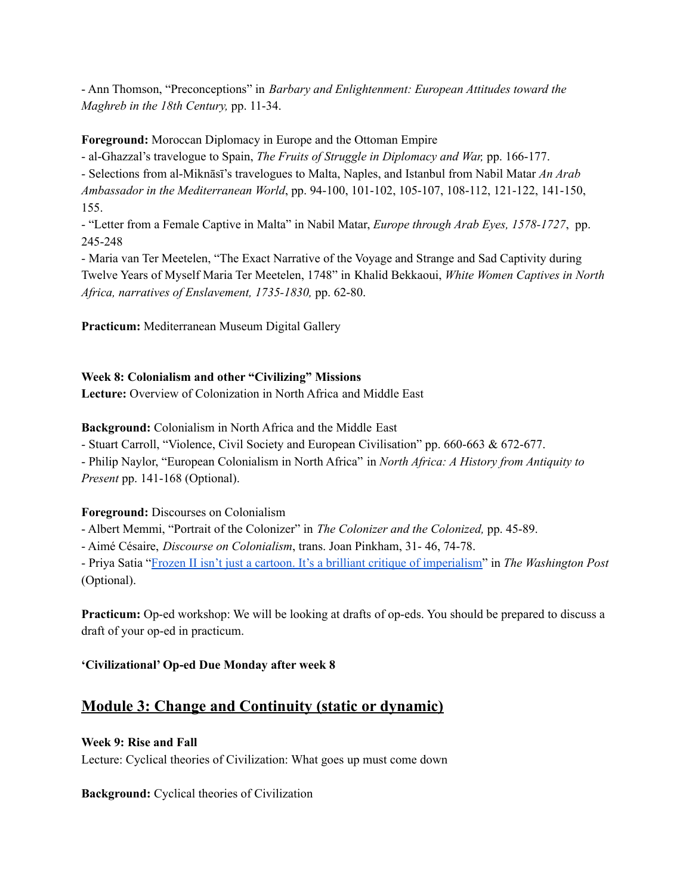- Ann Thomson, "Preconceptions" in *Barbary and Enlightenment: European Attitudes toward the Maghreb in the 18th Century,* pp. 11-34.

**Foreground:** Moroccan Diplomacy in Europe and the Ottoman Empire

- al-Ghazzal's travelogue to Spain, *The Fruits of Struggle in Diplomacy and War,* pp. 166-177.

- Selections from al-Miknāsī's travelogues to Malta, Naples, and Istanbul from Nabil Matar *An Arab Ambassador in the Mediterranean World*, pp. 94-100, 101-102, 105-107, 108-112, 121-122, 141-150, 155.

- "Letter from a Female Captive in Malta" in Nabil Matar, *Europe through Arab Eyes, 1578-1727*, pp. 245-248

- Maria van Ter Meetelen, "The Exact Narrative of the Voyage and Strange and Sad Captivity during Twelve Years of Myself Maria Ter Meetelen, 1748" in Khalid Bekkaoui, *White Women Captives in North Africa, narratives of Enslavement, 1735-1830,* pp. 62-80.

**Practicum:** Mediterranean Museum Digital Gallery

## **Week 8: Colonialism and other "Civilizing" Missions**

**Lecture:** Overview of Colonization in North Africa and Middle East

**Background:** Colonialism in North Africa and the Middle East

- Stuart Carroll, "Violence, Civil Society and European Civilisation" pp. 660-663 & 672-677.

- Philip Naylor, "European Colonialism in North Africa" in *North Africa: A History from Antiquity to Present* pp. 141-168 (Optional).

## **Foreground:** Discourses on Colonialism

- Albert Memmi, "Portrait of the Colonizer" in *The Colonizer and the Colonized,* pp. 45-89.

- Aimé Césaire, *Discourse on Colonialism*, trans. Joan Pinkham, 31- 46, 74-78.

- Priya Satia "Frozen II isn't just a cartoon. It's a brilliant critique of [imperialism"](https://www.washingtonpost.com/outlook/2019/12/05/kids-love-anna-elsa-frozen-iis-lesson-is-adults/) in *The Washington Post* (Optional).

**Practicum:** Op-ed workshop: We will be looking at drafts of op-eds. You should be prepared to discuss a draft of your op-ed in practicum.

# **'Civilizational' Op-ed Due Monday after week 8**

# **Module 3: Change and Continuity (static or dynamic)**

## **Week 9: Rise and Fall**

Lecture: Cyclical theories of Civilization: What goes up must come down

**Background:** Cyclical theories of Civilization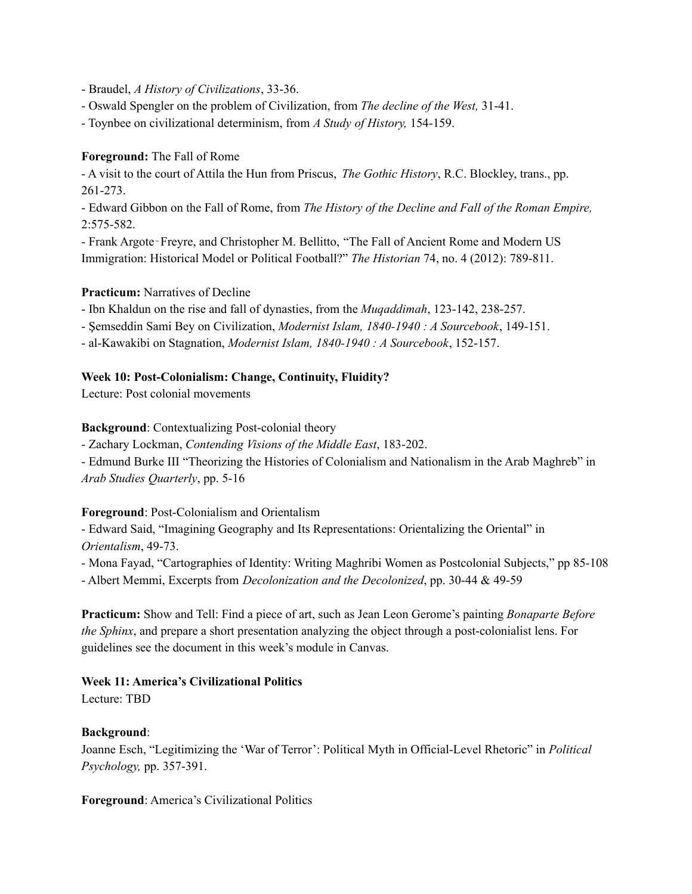- Braudel, *A History of Civilizations*, 33-36.
- Oswald Spengler on the problem of Civilization, from *The decline of the West,* 31-41.
- Toynbee on civilizational determinism, from *A Study of History,* 154-159.

#### **Foreground:** The Fall of Rome

- A visit to the court of Attila the Hun from Priscus, *The Gothic History*, R.C. Blockley, trans., pp. 261-273.

- Edward Gibbon on the Fall of Rome, from *The History of the Decline and Fall of the Roman Empire,* 2:575-582.

- Frank Argote‐Freyre, and Christopher M. Bellitto, "The Fall of Ancient Rome and Modern US Immigration: Historical Model or Political Football?" *The Historian* 74, no. 4 (2012): 789-811.

#### **Practicum:** Narratives of Decline

- Ibn Khaldun on the rise and fall of dynasties, from the *Muqaddimah*, 123-142, 238-257.

- Şemseddin Sami Bey on Civilization, *Modernist Islam, 1840-1940 : A Sourcebook*, 149-151.
- al-Kawakibi on Stagnation, *Modernist Islam, 1840-1940 : A Sourcebook*, 152-157.

#### **Week 10: Post-Colonialism: Change, Continuity, Fluidity?**

Lecture: Post colonial movements

**Background**: Contextualizing Post-colonial theory

- Zachary Lockman, *Contending Visions of the Middle East*, 183-202.

- Edmund Burke III "Theorizing the Histories of Colonialism and Nationalism in the Arab Maghreb" in *Arab Studies Quarterly*, pp. 5-16

#### **Foreground**: Post-Colonialism and Orientalism

- Edward Said, "Imagining Geography and Its Representations: Orientalizing the Oriental" in *Orientalism*, 49-73.

- Mona Fayad, "Cartographies of Identity: Writing Maghribi Women as Postcolonial Subjects," pp 85-108

- Albert Memmi, Excerpts from *Decolonization and the Decolonized*, pp. 30-44 & 49-59

**Practicum:** Show and Tell: Find a piece of art, such as Jean Leon Gerome's painting *Bonaparte Before the Sphinx*, and prepare a short presentation analyzing the object through a post-colonialist lens. For guidelines see the document in this week's module in Canvas.

## **Week 11: America's Civilizational Politics**

Lecture: TBD

## **Background**:

Joanne Esch, "Legitimizing the 'War of Terror': Political Myth in Official-Level Rhetoric" in *Political Psychology,* pp. 357-391.

**Foreground**: America's Civilizational Politics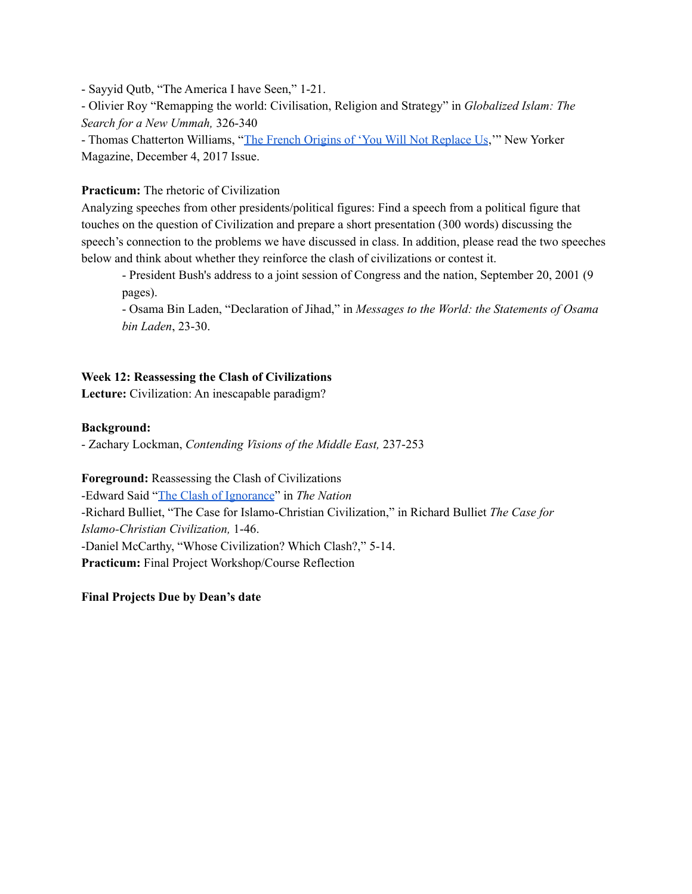- Sayyid Qutb, "The America I have Seen," 1-21.

- Olivier Roy "Remapping the world: Civilisation, Religion and Strategy" in *Globalized Islam: The Search for a New Ummah,* 326-340

- Thomas Chatterton Williams, "The French Origins of 'You Will Not [Replace](https://www.newyorker.com/magazine/2017/12/04/the-french-origins-of-you-will-not-replace-us) Us,'" New Yorker Magazine, December 4, 2017 Issue.

# **Practicum:** The rhetoric of Civilization

Analyzing speeches from other presidents/political figures: Find a speech from a political figure that touches on the question of Civilization and prepare a short presentation (300 words) discussing the speech's connection to the problems we have discussed in class. In addition, please read the two speeches below and think about whether they reinforce the clash of civilizations or contest it.

- President Bush's address to a joint session of Congress and the nation, September 20, 2001 (9 pages).

- Osama Bin Laden, "Declaration of Jihad," in *Messages to the World: the Statements of Osama bin Laden*, 23-30.

# **Week 12: Reassessing the Clash of Civilizations**

**Lecture:** Civilization: An inescapable paradigm?

## **Background:**

- Zachary Lockman, *Contending Visions of the Middle East,* 237-253

**Foreground:** Reassessing the Clash of Civilizations -Edward Said "The Clash of [Ignorance](https://www.thenation.com/article/archive/clash-ignorance/)" in *The Nation* -Richard Bulliet, "The Case for Islamo-Christian Civilization," in Richard Bulliet *The Case for Islamo-Christian Civilization,* 1-46. -Daniel McCarthy, "Whose Civilization? Which Clash?," 5-14. **Practicum:** Final Project Workshop/Course Reflection

**Final Projects Due by Dean's date**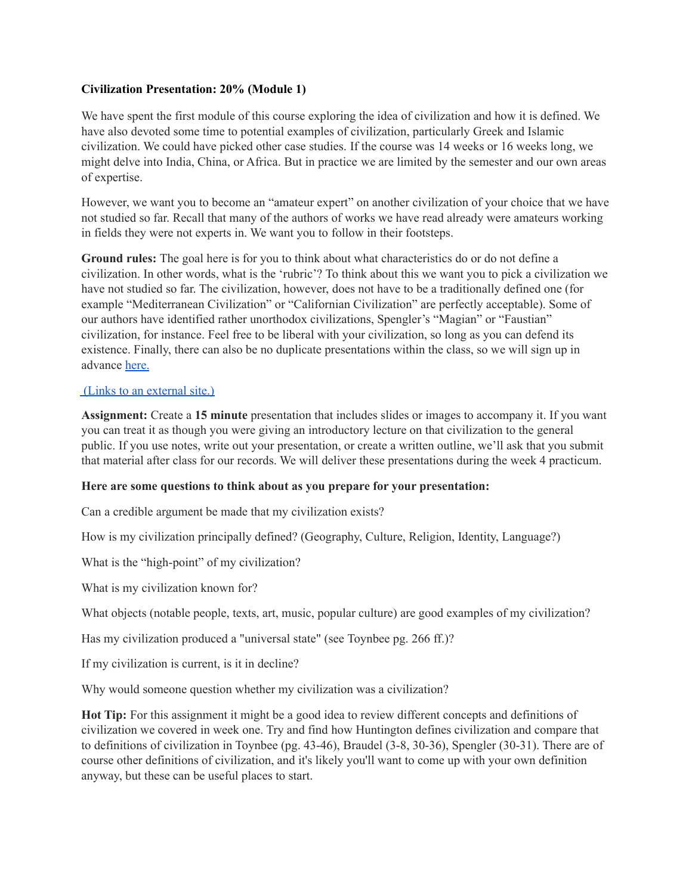#### **Civilization Presentation: 20% (Module 1)**

We have spent the first module of this course exploring the idea of civilization and how it is defined. We have also devoted some time to potential examples of civilization, particularly Greek and Islamic civilization. We could have picked other case studies. If the course was 14 weeks or 16 weeks long, we might delve into India, China, or Africa. But in practice we are limited by the semester and our own areas of expertise.

However, we want you to become an "amateur expert" on another civilization of your choice that we have not studied so far. Recall that many of the authors of works we have read already were amateurs working in fields they were not experts in. We want you to follow in their footsteps.

**Ground rules:** The goal here is for you to think about what characteristics do or do not define a civilization. In other words, what is the 'rubric'? To think about this we want you to pick a civilization we have not studied so far. The civilization, however, does not have to be a traditionally defined one (for example "Mediterranean Civilization" or "Californian Civilization" are perfectly acceptable). Some of our authors have identified rather unorthodox civilizations, Spengler's "Magian" or "Faustian" civilization, for instance. Feel free to be liberal with your civilization, so long as you can defend its existence. Finally, there can also be no duplicate presentations within the class, so we will sign up in advance [here.](https://docs.google.com/spreadsheets/d/19Hb5QYTwMipBTonf8ABsw4FE8T566otiQ1Z-M882dmg/edit?usp=sharing)

#### (Links to an [external](https://docs.google.com/spreadsheets/d/19Hb5QYTwMipBTonf8ABsw4FE8T566otiQ1Z-M882dmg/edit?usp=sharing) site.)

**Assignment:** Create a **15 minute** presentation that includes slides or images to accompany it. If you want you can treat it as though you were giving an introductory lecture on that civilization to the general public. If you use notes, write out your presentation, or create a written outline, we'll ask that you submit that material after class for our records. We will deliver these presentations during the week 4 practicum.

#### **Here are some questions to think about as you prepare for your presentation:**

Can a credible argument be made that my civilization exists?

How is my civilization principally defined? (Geography, Culture, Religion, Identity, Language?)

What is the "high-point" of my civilization?

What is my civilization known for?

What objects (notable people, texts, art, music, popular culture) are good examples of my civilization?

Has my civilization produced a "universal state" (see Toynbee pg. 266 ff.)?

If my civilization is current, is it in decline?

Why would someone question whether my civilization was a civilization?

**Hot Tip:** For this assignment it might be a good idea to review different concepts and definitions of civilization we covered in week one. Try and find how Huntington defines civilization and compare that to definitions of civilization in Toynbee (pg. 43-46), Braudel (3-8, 30-36), Spengler (30-31). There are of course other definitions of civilization, and it's likely you'll want to come up with your own definition anyway, but these can be useful places to start.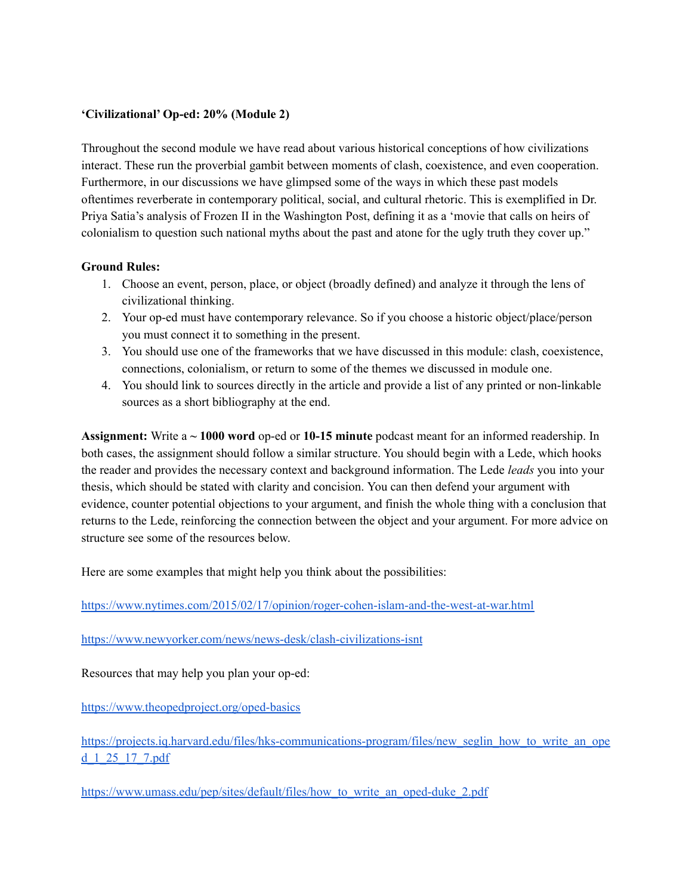#### **'Civilizational' Op-ed: 20% (Module 2)**

Throughout the second module we have read about various historical conceptions of how civilizations interact. These run the proverbial gambit between moments of clash, coexistence, and even cooperation. Furthermore, in our discussions we have glimpsed some of the ways in which these past models oftentimes reverberate in contemporary political, social, and cultural rhetoric. This is exemplified in Dr. Priya Satia's analysis of Frozen II in the Washington Post, defining it as a 'movie that calls on heirs of colonialism to question such national myths about the past and atone for the ugly truth they cover up."

#### **Ground Rules:**

- 1. Choose an event, person, place, or object (broadly defined) and analyze it through the lens of civilizational thinking.
- 2. Your op-ed must have contemporary relevance. So if you choose a historic object/place/person you must connect it to something in the present.
- 3. You should use one of the frameworks that we have discussed in this module: clash, coexistence, connections, colonialism, or return to some of the themes we discussed in module one.
- 4. You should link to sources directly in the article and provide a list of any printed or non-linkable sources as a short bibliography at the end.

**Assignment:** Write a **~ 1000 word** op-ed or **10-15 minute** podcast meant for an informed readership. In both cases, the assignment should follow a similar structure. You should begin with a Lede, which hooks the reader and provides the necessary context and background information. The Lede *leads* you into your thesis, which should be stated with clarity and concision. You can then defend your argument with evidence, counter potential objections to your argument, and finish the whole thing with a conclusion that returns to the Lede, reinforcing the connection between the object and your argument. For more advice on structure see some of the resources below.

Here are some examples that might help you think about the possibilities:

<https://www.nytimes.com/2015/02/17/opinion/roger-cohen-islam-and-the-west-at-war.html>

<https://www.newyorker.com/news/news-desk/clash-civilizations-isnt>

Resources that may help you plan your op-ed:

<https://www.theopedproject.org/oped-basics>

[https://projects.iq.harvard.edu/files/hks-communications-program/files/new\\_seglin\\_how\\_to\\_write\\_an\\_ope](https://projects.iq.harvard.edu/files/hks-communications-program/files/new_seglin_how_to_write_an_oped_1_25_17_7.pdf) [d\\_1\\_25\\_17\\_7.pdf](https://projects.iq.harvard.edu/files/hks-communications-program/files/new_seglin_how_to_write_an_oped_1_25_17_7.pdf)

[https://www.umass.edu/pep/sites/default/files/how\\_to\\_write\\_an\\_oped-duke\\_2.pdf](https://www.umass.edu/pep/sites/default/files/how_to_write_an_oped-duke_2.pdf)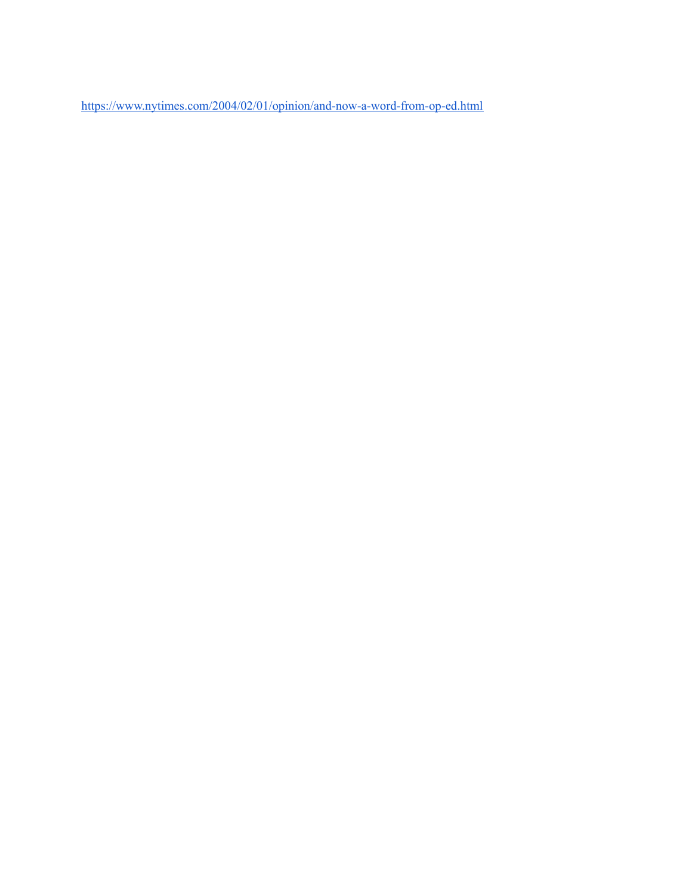<https://www.nytimes.com/2004/02/01/opinion/and-now-a-word-from-op-ed.html>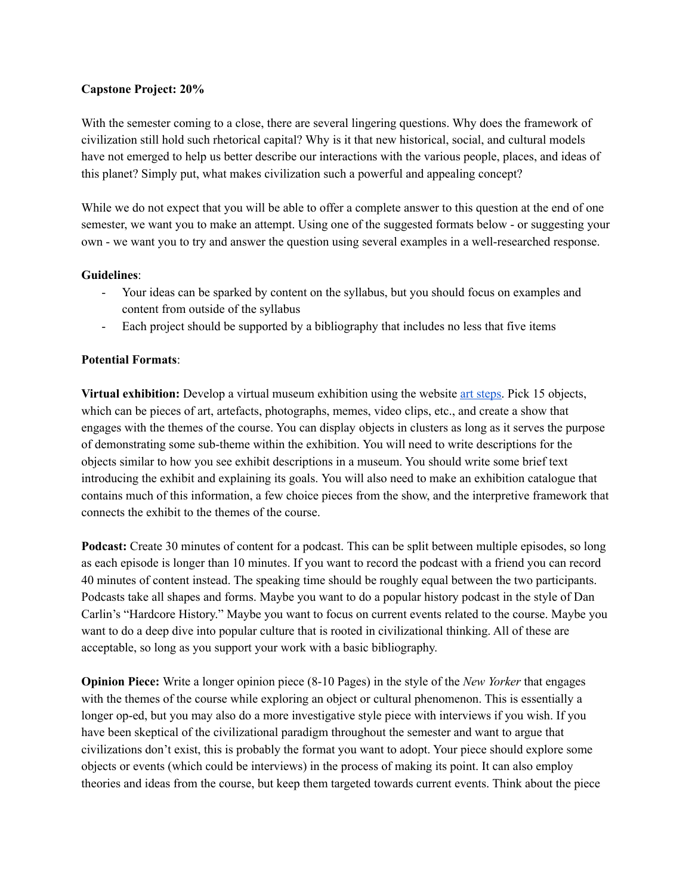#### **Capstone Project: 20%**

With the semester coming to a close, there are several lingering questions. Why does the framework of civilization still hold such rhetorical capital? Why is it that new historical, social, and cultural models have not emerged to help us better describe our interactions with the various people, places, and ideas of this planet? Simply put, what makes civilization such a powerful and appealing concept?

While we do not expect that you will be able to offer a complete answer to this question at the end of one semester, we want you to make an attempt. Using one of the suggested formats below - or suggesting your own - we want you to try and answer the question using several examples in a well-researched response.

#### **Guidelines**:

- Your ideas can be sparked by content on the syllabus, but you should focus on examples and content from outside of the syllabus
- Each project should be supported by a bibliography that includes no less that five items

## **Potential Formats**:

**Virtual exhibition:** Develop a virtual museum exhibition using the website art [steps.](https://www.artsteps.com/) Pick 15 objects, which can be pieces of art, artefacts, photographs, memes, video clips, etc., and create a show that engages with the themes of the course. You can display objects in clusters as long as it serves the purpose of demonstrating some sub-theme within the exhibition. You will need to write descriptions for the objects similar to how you see exhibit descriptions in a museum. You should write some brief text introducing the exhibit and explaining its goals. You will also need to make an exhibition catalogue that contains much of this information, a few choice pieces from the show, and the interpretive framework that connects the exhibit to the themes of the course.

**Podcast:** Create 30 minutes of content for a podcast. This can be split between multiple episodes, so long as each episode is longer than 10 minutes. If you want to record the podcast with a friend you can record 40 minutes of content instead. The speaking time should be roughly equal between the two participants. Podcasts take all shapes and forms. Maybe you want to do a popular history podcast in the style of Dan Carlin's "Hardcore History." Maybe you want to focus on current events related to the course. Maybe you want to do a deep dive into popular culture that is rooted in civilizational thinking. All of these are acceptable, so long as you support your work with a basic bibliography.

**Opinion Piece:** Write a longer opinion piece (8-10 Pages) in the style of the *New Yorker* that engages with the themes of the course while exploring an object or cultural phenomenon. This is essentially a longer op-ed, but you may also do a more investigative style piece with interviews if you wish. If you have been skeptical of the civilizational paradigm throughout the semester and want to argue that civilizations don't exist, this is probably the format you want to adopt. Your piece should explore some objects or events (which could be interviews) in the process of making its point. It can also employ theories and ideas from the course, but keep them targeted towards current events. Think about the piece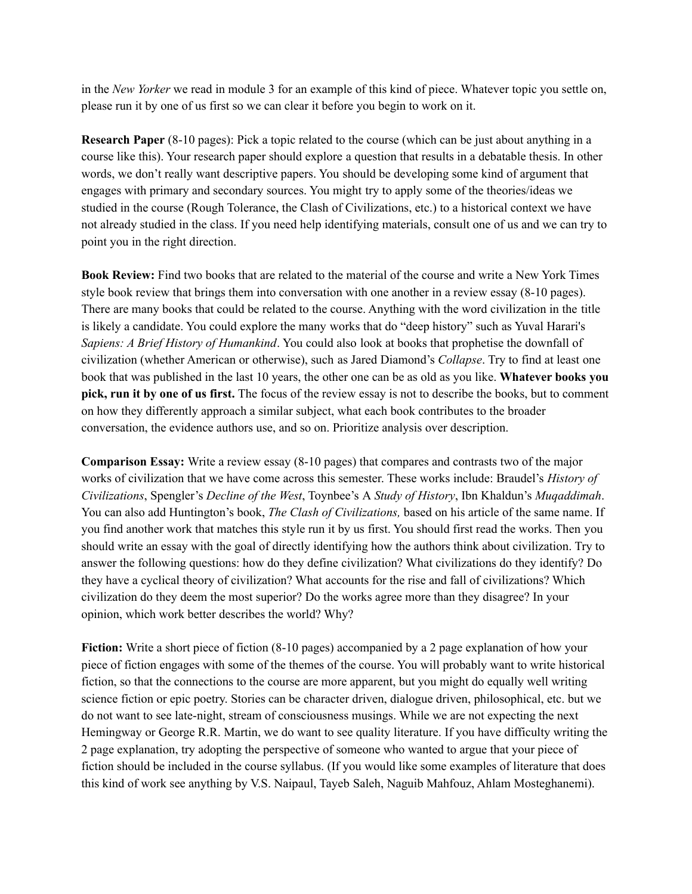in the *New Yorker* we read in module 3 for an example of this kind of piece. Whatever topic you settle on, please run it by one of us first so we can clear it before you begin to work on it.

**Research Paper** (8-10 pages): Pick a topic related to the course (which can be just about anything in a course like this). Your research paper should explore a question that results in a debatable thesis. In other words, we don't really want descriptive papers. You should be developing some kind of argument that engages with primary and secondary sources. You might try to apply some of the theories/ideas we studied in the course (Rough Tolerance, the Clash of Civilizations, etc.) to a historical context we have not already studied in the class. If you need help identifying materials, consult one of us and we can try to point you in the right direction.

**Book Review:** Find two books that are related to the material of the course and write a New York Times style book review that brings them into conversation with one another in a review essay (8-10 pages). There are many books that could be related to the course. Anything with the word civilization in the title is likely a candidate. You could explore the many works that do "deep history" such as Yuval Harari's *Sapiens: A Brief History of Humankind*. You could also look at books that prophetise the downfall of civilization (whether American or otherwise), such as Jared Diamond's *Collapse*. Try to find at least one book that was published in the last 10 years, the other one can be as old as you like. **Whatever books you pick, run it by one of us first.** The focus of the review essay is not to describe the books, but to comment on how they differently approach a similar subject, what each book contributes to the broader conversation, the evidence authors use, and so on. Prioritize analysis over description.

**Comparison Essay:** Write a review essay (8-10 pages) that compares and contrasts two of the major works of civilization that we have come across this semester. These works include: Braudel's *History of Civilizations*, Spengler's *Decline of the West*, Toynbee's A *Study of History*, Ibn Khaldun's *Muqaddimah*. You can also add Huntington's book, *The Clash of Civilizations,* based on his article of the same name. If you find another work that matches this style run it by us first. You should first read the works. Then you should write an essay with the goal of directly identifying how the authors think about civilization. Try to answer the following questions: how do they define civilization? What civilizations do they identify? Do they have a cyclical theory of civilization? What accounts for the rise and fall of civilizations? Which civilization do they deem the most superior? Do the works agree more than they disagree? In your opinion, which work better describes the world? Why?

**Fiction:** Write a short piece of fiction (8-10 pages) accompanied by a 2 page explanation of how your piece of fiction engages with some of the themes of the course. You will probably want to write historical fiction, so that the connections to the course are more apparent, but you might do equally well writing science fiction or epic poetry. Stories can be character driven, dialogue driven, philosophical, etc. but we do not want to see late-night, stream of consciousness musings. While we are not expecting the next Hemingway or George R.R. Martin, we do want to see quality literature. If you have difficulty writing the 2 page explanation, try adopting the perspective of someone who wanted to argue that your piece of fiction should be included in the course syllabus. (If you would like some examples of literature that does this kind of work see anything by V.S. Naipaul, Tayeb Saleh, Naguib Mahfouz, Ahlam Mosteghanemi).